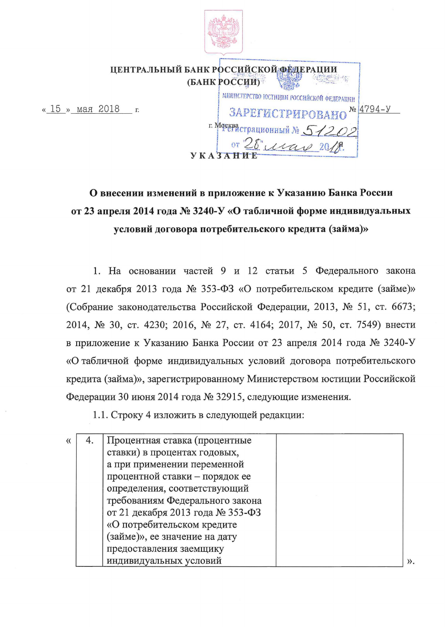

«  $15$  » мая

|                  | ЦЕНТРАЛЬНЫЙ БАНК РОССИЙСКОЙ ФЕДЕРАЦИИ     |
|------------------|-------------------------------------------|
|                  | (БАНК РОССИИ)                             |
|                  | МИНИСТЕРСТВО ЮСТИЦИИ РОССИЙСКОЙ ФЕДЕРАЦИИ |
| 2018<br>$\Gamma$ | $N_2$ 4794-y<br>ЗАРЕГИСТРИРОВАНО          |
|                  | г. Моекрастрационный № 512                |
|                  | or 20 , isas                              |
|                  |                                           |

## О внесении изменений в приложение к Указанию Банка России от 23 апреля 2014 года № 3240-У «О табличной форме индивидуальных условий договора потребительского кредита (займа)»

1. На основании частей 9 и 12 статьи 5 Федерального закона от 21 декабря 2013 года № 353-ФЗ «О потребительском кредите (займе)» (Собрание законодательства Российской Федерации, 2013, № 51, ст. 6673; 2014, № 30, ст. 4230; 2016, № 27, ст. 4164; 2017, № 50, ст. 7549) внести в приложение к Указанию Банка России от 23 апреля 2014 года № 3240-У «О табличной форме индивидуальных условий договора потребительского кредита (займа)», зарегистрированному Министерством юстиции Российской Федерации 30 июня 2014 года № 32915, следующие изменения.

1.1. Строку 4 изложить в следующей редакции:

|  | Процентная ставка (процентные    |  |
|--|----------------------------------|--|
|  | ставки) в процентах годовых,     |  |
|  | а при применении переменной      |  |
|  | процентной ставки - порядок ее   |  |
|  | определения, соответствующий     |  |
|  | требованиям Федерального закона  |  |
|  | от 21 декабря 2013 года № 353-ФЗ |  |
|  | «О потребительском кредите       |  |
|  | (займе)», ее значение на дату    |  |
|  | предоставления заемщику          |  |
|  | индивидуальных условий           |  |

».